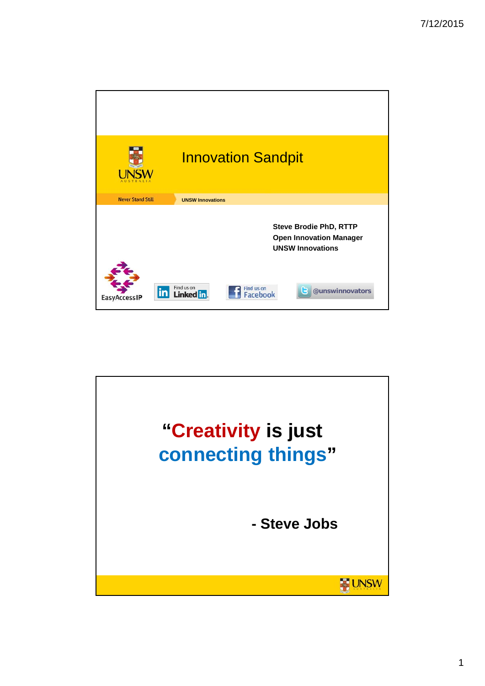

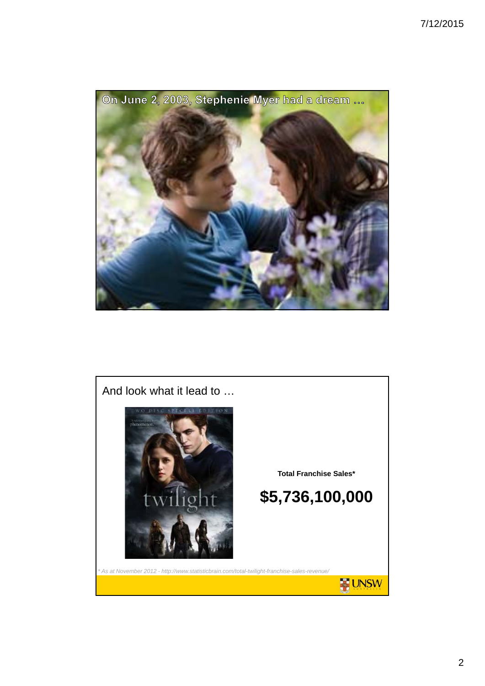

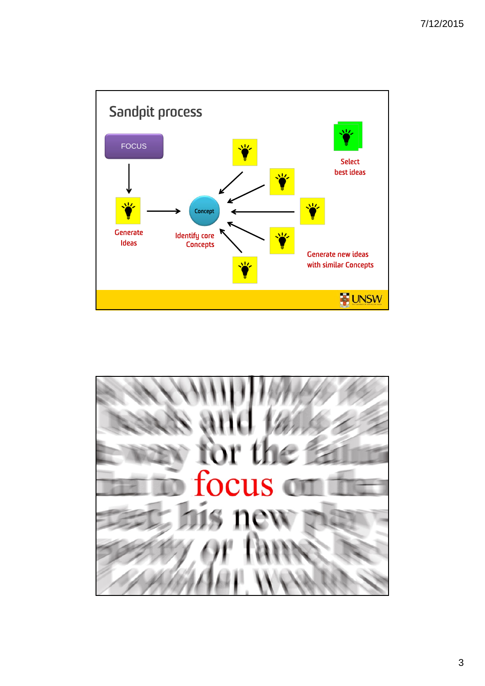

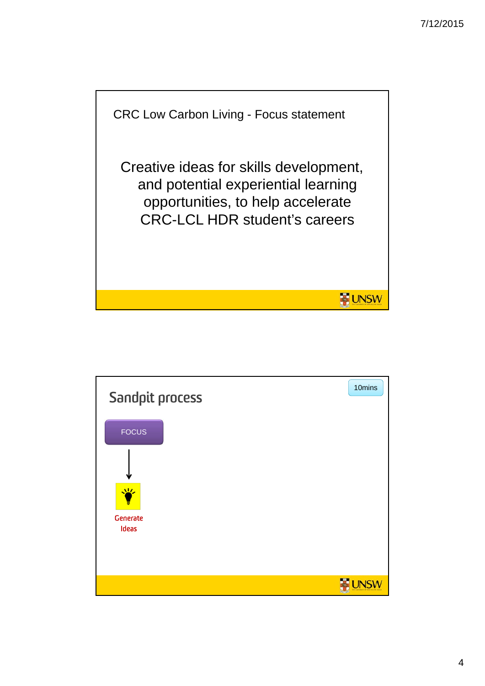

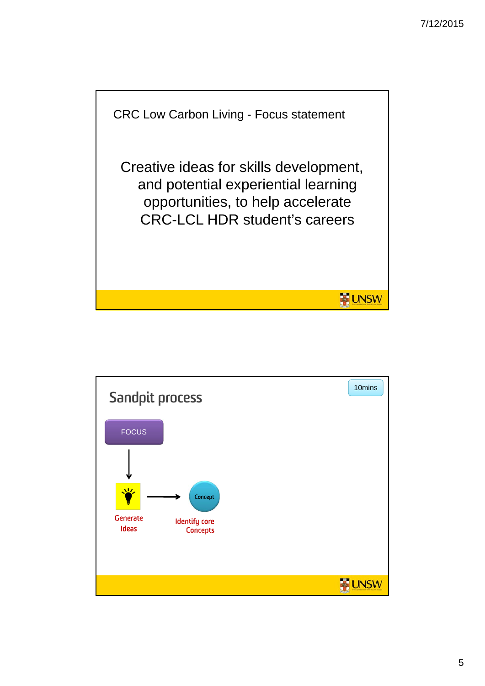

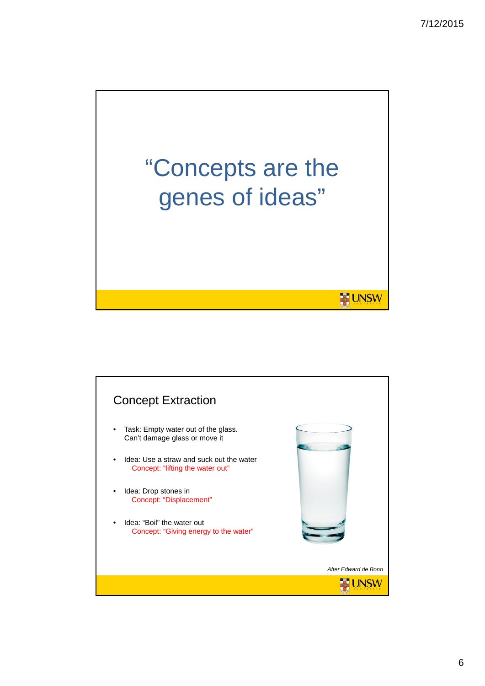

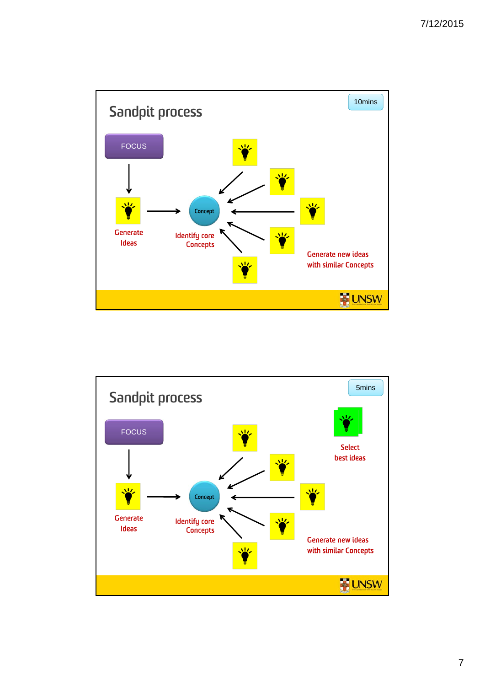